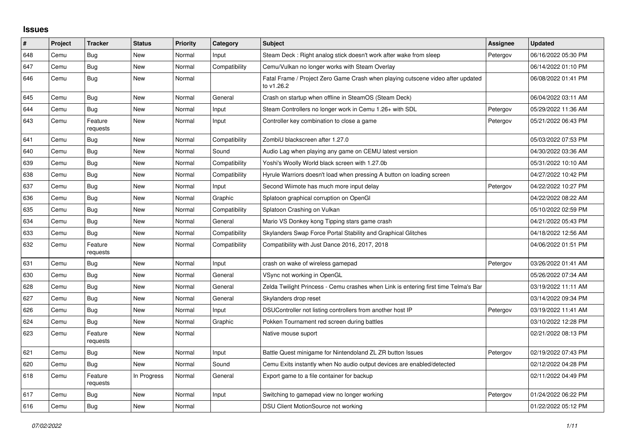## **Issues**

| #   | Project | <b>Tracker</b>      | <b>Status</b> | <b>Priority</b> | Category      | <b>Subject</b>                                                                                | Assignee | <b>Updated</b>      |
|-----|---------|---------------------|---------------|-----------------|---------------|-----------------------------------------------------------------------------------------------|----------|---------------------|
| 648 | Cemu    | Bug                 | New           | Normal          | Input         | Steam Deck: Right analog stick doesn't work after wake from sleep                             | Petergov | 06/16/2022 05:30 PM |
| 647 | Cemu    | <b>Bug</b>          | New           | Normal          | Compatibility | Cemu/Vulkan no longer works with Steam Overlay                                                |          | 06/14/2022 01:10 PM |
| 646 | Cemu    | <b>Bug</b>          | New           | Normal          |               | Fatal Frame / Project Zero Game Crash when playing cutscene video after updated<br>to v1.26.2 |          | 06/08/2022 01:41 PM |
| 645 | Cemu    | <b>Bug</b>          | <b>New</b>    | Normal          | General       | Crash on startup when offline in SteamOS (Steam Deck)                                         |          | 06/04/2022 03:11 AM |
| 644 | Cemu    | Bug                 | New           | Normal          | Input         | Steam Controllers no longer work in Cemu 1.26+ with SDL                                       | Petergov | 05/29/2022 11:36 AM |
| 643 | Cemu    | Feature<br>requests | New           | Normal          | Input         | Controller key combination to close a game                                                    | Petergov | 05/21/2022 06:43 PM |
| 641 | Cemu    | <b>Bug</b>          | New           | Normal          | Compatibility | ZombiU blackscreen after 1.27.0                                                               |          | 05/03/2022 07:53 PM |
| 640 | Cemu    | Bug                 | New           | Normal          | Sound         | Audio Lag when playing any game on CEMU latest version                                        |          | 04/30/2022 03:36 AM |
| 639 | Cemu    | <b>Bug</b>          | New           | Normal          | Compatibility | Yoshi's Woolly World black screen with 1.27.0b                                                |          | 05/31/2022 10:10 AM |
| 638 | Cemu    | <b>Bug</b>          | New           | Normal          | Compatibility | Hyrule Warriors doesn't load when pressing A button on loading screen                         |          | 04/27/2022 10:42 PM |
| 637 | Cemu    | Bug                 | New           | Normal          | Input         | Second Wiimote has much more input delay                                                      | Petergov | 04/22/2022 10:27 PM |
| 636 | Cemu    | <b>Bug</b>          | New           | Normal          | Graphic       | Splatoon graphical corruption on OpenGl                                                       |          | 04/22/2022 08:22 AM |
| 635 | Cemu    | <b>Bug</b>          | <b>New</b>    | Normal          | Compatibility | Splatoon Crashing on Vulkan                                                                   |          | 05/10/2022 02:59 PM |
| 634 | Cemu    | Bug                 | New           | Normal          | General       | Mario VS Donkey kong Tipping stars game crash                                                 |          | 04/21/2022 05:43 PM |
| 633 | Cemu    | Bug                 | New           | Normal          | Compatibility | Skylanders Swap Force Portal Stability and Graphical Glitches                                 |          | 04/18/2022 12:56 AM |
| 632 | Cemu    | Feature<br>requests | New           | Normal          | Compatibility | Compatibility with Just Dance 2016, 2017, 2018                                                |          | 04/06/2022 01:51 PM |
| 631 | Cemu    | <b>Bug</b>          | New           | Normal          | Input         | crash on wake of wireless gamepad                                                             | Petergov | 03/26/2022 01:41 AM |
| 630 | Cemu    | <b>Bug</b>          | New           | Normal          | General       | VSync not working in OpenGL                                                                   |          | 05/26/2022 07:34 AM |
| 628 | Cemu    | Bug                 | New           | Normal          | General       | Zelda Twilight Princess - Cemu crashes when Link is entering first time Telma's Bar           |          | 03/19/2022 11:11 AM |
| 627 | Cemu    | Bug                 | New           | Normal          | General       | Skylanders drop reset                                                                         |          | 03/14/2022 09:34 PM |
| 626 | Cemu    | Bug                 | New           | Normal          | Input         | DSUController not listing controllers from another host IP                                    | Petergov | 03/19/2022 11:41 AM |
| 624 | Cemu    | <b>Bug</b>          | <b>New</b>    | Normal          | Graphic       | Pokken Tournament red screen during battles                                                   |          | 03/10/2022 12:28 PM |
| 623 | Cemu    | Feature<br>requests | New           | Normal          |               | Native mouse suport                                                                           |          | 02/21/2022 08:13 PM |
| 621 | Cemu    | <b>Bug</b>          | New           | Normal          | Input         | Battle Quest minigame for Nintendoland ZL ZR button Issues                                    | Petergov | 02/19/2022 07:43 PM |
| 620 | Cemu    | <b>Bug</b>          | New           | Normal          | Sound         | Cemu Exits instantly when No audio output devices are enabled/detected                        |          | 02/12/2022 04:28 PM |
| 618 | Cemu    | Feature<br>requests | In Progress   | Normal          | General       | Export game to a file container for backup                                                    |          | 02/11/2022 04:49 PM |
| 617 | Cemu    | <b>Bug</b>          | New           | Normal          | Input         | Switching to gamepad view no longer working                                                   | Petergov | 01/24/2022 06:22 PM |
| 616 | Cemu    | Bug                 | New           | Normal          |               | DSU Client MotionSource not working                                                           |          | 01/22/2022 05:12 PM |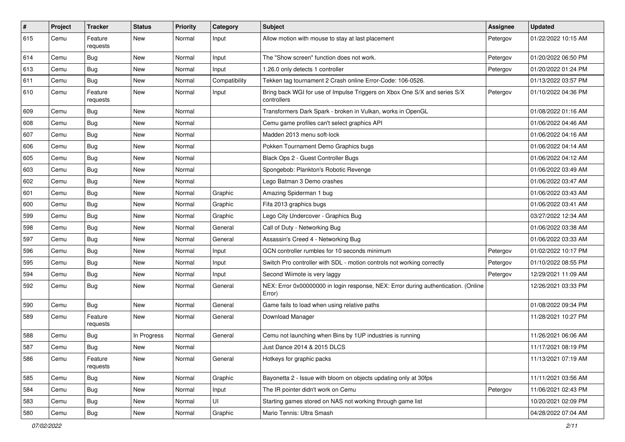| $\#$ | Project | <b>Tracker</b>      | <b>Status</b> | <b>Priority</b> | Category      | <b>Subject</b>                                                                               | <b>Assignee</b> | <b>Updated</b>      |
|------|---------|---------------------|---------------|-----------------|---------------|----------------------------------------------------------------------------------------------|-----------------|---------------------|
| 615  | Cemu    | Feature<br>requests | New           | Normal          | Input         | Allow motion with mouse to stay at last placement                                            | Petergov        | 01/22/2022 10:15 AM |
| 614  | Cemu    | Bug                 | New           | Normal          | Input         | The "Show screen" function does not work.                                                    | Petergov        | 01/20/2022 06:50 PM |
| 613  | Cemu    | Bug                 | New           | Normal          | Input         | 1.26.0 only detects 1 controller                                                             | Petergov        | 01/20/2022 01:24 PM |
| 611  | Cemu    | <b>Bug</b>          | New           | Normal          | Compatibility | Tekken tag tournament 2 Crash online Error-Code: 106-0526.                                   |                 | 01/13/2022 03:57 PM |
| 610  | Cemu    | Feature<br>requests | New           | Normal          | Input         | Bring back WGI for use of Impulse Triggers on Xbox One S/X and series S/X<br>controllers     | Petergov        | 01/10/2022 04:36 PM |
| 609  | Cemu    | Bug                 | New           | Normal          |               | Transformers Dark Spark - broken in Vulkan, works in OpenGL                                  |                 | 01/08/2022 01:16 AM |
| 608  | Cemu    | Bug                 | New           | Normal          |               | Cemu game profiles can't select graphics API                                                 |                 | 01/06/2022 04:46 AM |
| 607  | Cemu    | Bug                 | <b>New</b>    | Normal          |               | Madden 2013 menu soft-lock                                                                   |                 | 01/06/2022 04:16 AM |
| 606  | Cemu    | Bug                 | New           | Normal          |               | Pokken Tournament Demo Graphics bugs                                                         |                 | 01/06/2022 04:14 AM |
| 605  | Cemu    | <b>Bug</b>          | New           | Normal          |               | Black Ops 2 - Guest Controller Bugs                                                          |                 | 01/06/2022 04:12 AM |
| 603  | Cemu    | Bug                 | New           | Normal          |               | Spongebob: Plankton's Robotic Revenge                                                        |                 | 01/06/2022 03:49 AM |
| 602  | Cemu    | <b>Bug</b>          | New           | Normal          |               | Lego Batman 3 Demo crashes                                                                   |                 | 01/06/2022 03:47 AM |
| 601  | Cemu    | <b>Bug</b>          | New           | Normal          | Graphic       | Amazing Spiderman 1 bug                                                                      |                 | 01/06/2022 03:43 AM |
| 600  | Cemu    | <b>Bug</b>          | New           | Normal          | Graphic       | Fifa 2013 graphics bugs                                                                      |                 | 01/06/2022 03:41 AM |
| 599  | Cemu    | Bug                 | New           | Normal          | Graphic       | Lego City Undercover - Graphics Bug                                                          |                 | 03/27/2022 12:34 AM |
| 598  | Cemu    | Bug                 | New           | Normal          | General       | Call of Duty - Networking Bug                                                                |                 | 01/06/2022 03:38 AM |
| 597  | Cemu    | Bug                 | New           | Normal          | General       | Assassin's Creed 4 - Networking Bug                                                          |                 | 01/06/2022 03:33 AM |
| 596  | Cemu    | <b>Bug</b>          | New           | Normal          | Input         | GCN controller rumbles for 10 seconds minimum                                                | Petergov        | 01/02/2022 10:17 PM |
| 595  | Cemu    | Bug                 | New           | Normal          | Input         | Switch Pro controller with SDL - motion controls not working correctly                       | Petergov        | 01/10/2022 08:55 PM |
| 594  | Cemu    | <b>Bug</b>          | New           | Normal          | Input         | Second Wiimote is very laggy                                                                 | Petergov        | 12/29/2021 11:09 AM |
| 592  | Cemu    | Bug                 | New           | Normal          | General       | NEX: Error 0x00000000 in login response, NEX: Error during authentication. (Online<br>Error) |                 | 12/26/2021 03:33 PM |
| 590  | Cemu    | Bug                 | New           | Normal          | General       | Game fails to load when using relative paths                                                 |                 | 01/08/2022 09:34 PM |
| 589  | Cemu    | Feature<br>requests | New           | Normal          | General       | Download Manager                                                                             |                 | 11/28/2021 10:27 PM |
| 588  | Cemu    | Bug                 | In Progress   | Normal          | General       | Cemu not launching when Bins by 1UP industries is running                                    |                 | 11/26/2021 06:06 AM |
| 587  | Cemu    | Bug                 | New           | Normal          |               | Just Dance 2014 & 2015 DLCS                                                                  |                 | 11/17/2021 08:19 PM |
| 586  | Cemu    | Feature<br>requests | New           | Normal          | General       | Hotkeys for graphic packs                                                                    |                 | 11/13/2021 07:19 AM |
| 585  | Cemu    | <b>Bug</b>          | New           | Normal          | Graphic       | Bayonetta 2 - Issue with bloom on objects updating only at 30fps                             |                 | 11/11/2021 03:56 AM |
| 584  | Cemu    | <b>Bug</b>          | New           | Normal          | Input         | The IR pointer didn't work on Cemu                                                           | Petergov        | 11/06/2021 02:43 PM |
| 583  | Cemu    | Bug                 | New           | Normal          | UI            | Starting games stored on NAS not working through game list                                   |                 | 10/20/2021 02:09 PM |
| 580  | Cemu    | Bug                 | New           | Normal          | Graphic       | Mario Tennis: Ultra Smash                                                                    |                 | 04/28/2022 07:04 AM |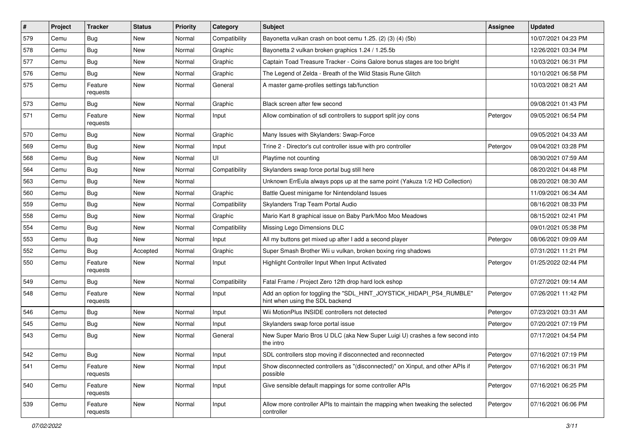| $\sharp$ | Project | <b>Tracker</b>      | <b>Status</b> | <b>Priority</b> | Category      | Subject                                                                                                 | <b>Assignee</b> | Updated             |
|----------|---------|---------------------|---------------|-----------------|---------------|---------------------------------------------------------------------------------------------------------|-----------------|---------------------|
| 579      | Cemu    | Bug                 | New           | Normal          | Compatibility | Bayonetta vulkan crash on boot cemu 1.25. (2) (3) (4) (5b)                                              |                 | 10/07/2021 04:23 PM |
| 578      | Cemu    | <b>Bug</b>          | New           | Normal          | Graphic       | Bayonetta 2 vulkan broken graphics 1.24 / 1.25.5b                                                       |                 | 12/26/2021 03:34 PM |
| 577      | Cemu    | <b>Bug</b>          | New           | Normal          | Graphic       | Captain Toad Treasure Tracker - Coins Galore bonus stages are too bright                                |                 | 10/03/2021 06:31 PM |
| 576      | Cemu    | <b>Bug</b>          | New           | Normal          | Graphic       | The Legend of Zelda - Breath of the Wild Stasis Rune Glitch                                             |                 | 10/10/2021 06:58 PM |
| 575      | Cemu    | Feature<br>requests | New           | Normal          | General       | A master game-profiles settings tab/function                                                            |                 | 10/03/2021 08:21 AM |
| 573      | Cemu    | Bug                 | New           | Normal          | Graphic       | Black screen after few second                                                                           |                 | 09/08/2021 01:43 PM |
| 571      | Cemu    | Feature<br>requests | New           | Normal          | Input         | Allow combination of sdl controllers to support split joy cons                                          | Petergov        | 09/05/2021 06:54 PM |
| 570      | Cemu    | Bug                 | New           | Normal          | Graphic       | Many Issues with Skylanders: Swap-Force                                                                 |                 | 09/05/2021 04:33 AM |
| 569      | Cemu    | Bug                 | New           | Normal          | Input         | Trine 2 - Director's cut controller issue with pro controller                                           | Petergov        | 09/04/2021 03:28 PM |
| 568      | Cemu    | Bug                 | New           | Normal          | UI            | Playtime not counting                                                                                   |                 | 08/30/2021 07:59 AM |
| 564      | Cemu    | Bug                 | New           | Normal          | Compatibility | Skylanders swap force portal bug still here                                                             |                 | 08/20/2021 04:48 PM |
| 563      | Cemu    | <b>Bug</b>          | New           | Normal          |               | Unknown ErrEula always pops up at the same point (Yakuza 1/2 HD Collection)                             |                 | 08/20/2021 08:30 AM |
| 560      | Cemu    | Bug                 | New           | Normal          | Graphic       | Battle Quest minigame for Nintendoland Issues                                                           |                 | 11/09/2021 06:34 AM |
| 559      | Cemu    | Bug                 | New           | Normal          | Compatibility | Skylanders Trap Team Portal Audio                                                                       |                 | 08/16/2021 08:33 PM |
| 558      | Cemu    | Bug                 | New           | Normal          | Graphic       | Mario Kart 8 graphical issue on Baby Park/Moo Moo Meadows                                               |                 | 08/15/2021 02:41 PM |
| 554      | Cemu    | <b>Bug</b>          | <b>New</b>    | Normal          | Compatibility | Missing Lego Dimensions DLC                                                                             |                 | 09/01/2021 05:38 PM |
| 553      | Cemu    | <b>Bug</b>          | New           | Normal          | Input         | All my buttons get mixed up after I add a second player                                                 | Petergov        | 08/06/2021 09:09 AM |
| 552      | Cemu    | Bug                 | Accepted      | Normal          | Graphic       | Super Smash Brother Wii u vulkan, broken boxing ring shadows                                            |                 | 07/31/2021 11:21 PM |
| 550      | Cemu    | Feature<br>requests | New           | Normal          | Input         | Highlight Controller Input When Input Activated                                                         | Petergov        | 01/25/2022 02:44 PM |
| 549      | Cemu    | Bug                 | New           | Normal          | Compatibility | Fatal Frame / Project Zero 12th drop hard lock eshop                                                    |                 | 07/27/2021 09:14 AM |
| 548      | Cemu    | Feature<br>requests | New           | Normal          | Input         | Add an option for toggling the "SDL_HINT_JOYSTICK_HIDAPI_PS4_RUMBLE"<br>hint when using the SDL backend | Petergov        | 07/26/2021 11:42 PM |
| 546      | Cemu    | Bug                 | <b>New</b>    | Normal          | Input         | Wii MotionPlus INSIDE controllers not detected                                                          | Petergov        | 07/23/2021 03:31 AM |
| 545      | Cemu    | <b>Bug</b>          | New           | Normal          | Input         | Skylanders swap force portal issue                                                                      | Petergov        | 07/20/2021 07:19 PM |
| 543      | Cemu    | <b>Bug</b>          | New           | Normal          | General       | New Super Mario Bros U DLC (aka New Super Luigi U) crashes a few second into<br>the intro               |                 | 07/17/2021 04:54 PM |
| 542      | Cemu    | Bug                 | New           | Normal          | Input         | SDL controllers stop moving if disconnected and reconnected                                             | Petergov        | 07/16/2021 07:19 PM |
| 541      | Cemu    | Feature<br>requests | New           | Normal          | Input         | Show disconnected controllers as "(disconnected)" on Xinput, and other APIs if<br>possible              | Petergov        | 07/16/2021 06:31 PM |
| 540      | Cemu    | Feature<br>requests | New           | Normal          | Input         | Give sensible default mappings for some controller APIs                                                 | Petergov        | 07/16/2021 06:25 PM |
| 539      | Cemu    | Feature<br>requests | New           | Normal          | Input         | Allow more controller APIs to maintain the mapping when tweaking the selected<br>controller             | Petergov        | 07/16/2021 06:06 PM |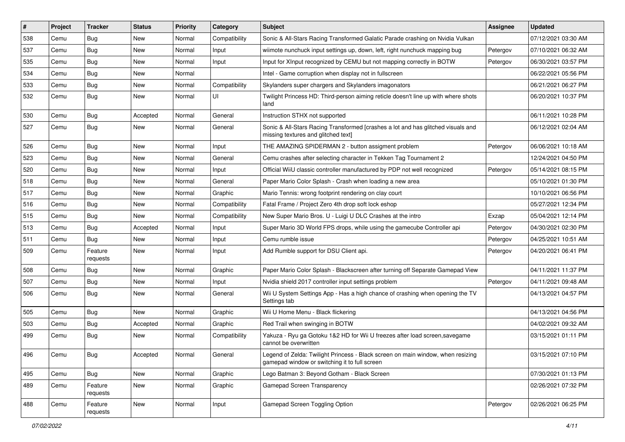| #   | Project | <b>Tracker</b>      | <b>Status</b> | <b>Priority</b> | Category      | Subject                                                                                                                          | Assignee | <b>Updated</b>      |
|-----|---------|---------------------|---------------|-----------------|---------------|----------------------------------------------------------------------------------------------------------------------------------|----------|---------------------|
| 538 | Cemu    | Bug                 | New           | Normal          | Compatibility | Sonic & All-Stars Racing Transformed Galatic Parade crashing on Nvidia Vulkan                                                    |          | 07/12/2021 03:30 AM |
| 537 | Cemu    | <b>Bug</b>          | New           | Normal          | Input         | wiimote nunchuck input settings up, down, left, right nunchuck mapping bug                                                       | Petergov | 07/10/2021 06:32 AM |
| 535 | Cemu    | <b>Bug</b>          | New           | Normal          | Input         | Input for XInput recognized by CEMU but not mapping correctly in BOTW                                                            | Petergov | 06/30/2021 03:57 PM |
| 534 | Cemu    | Bug                 | New           | Normal          |               | Intel - Game corruption when display not in fullscreen                                                                           |          | 06/22/2021 05:56 PM |
| 533 | Cemu    | <b>Bug</b>          | New           | Normal          | Compatibility | Skylanders super chargers and Skylanders imagonators                                                                             |          | 06/21/2021 06:27 PM |
| 532 | Cemu    | Bug                 | New           | Normal          | UI            | Twilight Princess HD: Third-person aiming reticle doesn't line up with where shots<br>land                                       |          | 06/20/2021 10:37 PM |
| 530 | Cemu    | Bug                 | Accepted      | Normal          | General       | Instruction STHX not supported                                                                                                   |          | 06/11/2021 10:28 PM |
| 527 | Cemu    | Bug                 | New           | Normal          | General       | Sonic & All-Stars Racing Transformed [crashes a lot and has glitched visuals and<br>missing textures and glitched text]          |          | 06/12/2021 02:04 AM |
| 526 | Cemu    | Bug                 | New           | Normal          | Input         | THE AMAZING SPIDERMAN 2 - button assigment problem                                                                               | Petergov | 06/06/2021 10:18 AM |
| 523 | Cemu    | Bug                 | New           | Normal          | General       | Cemu crashes after selecting character in Tekken Tag Tournament 2                                                                |          | 12/24/2021 04:50 PM |
| 520 | Cemu    | Bug                 | New           | Normal          | Input         | Official WiiU classic controller manufactured by PDP not well recognized                                                         | Petergov | 05/14/2021 08:15 PM |
| 518 | Cemu    | <b>Bug</b>          | New           | Normal          | General       | Paper Mario Color Splash - Crash when loading a new area                                                                         |          | 05/10/2021 01:30 PM |
| 517 | Cemu    | <b>Bug</b>          | New           | Normal          | Graphic       | Mario Tennis: wrong footprint rendering on clay court                                                                            |          | 10/10/2021 06:56 PM |
| 516 | Cemu    | Bug                 | New           | Normal          | Compatibility | Fatal Frame / Project Zero 4th drop soft lock eshop                                                                              |          | 05/27/2021 12:34 PM |
| 515 | Cemu    | <b>Bug</b>          | New           | Normal          | Compatibility | New Super Mario Bros. U - Luigi U DLC Crashes at the intro                                                                       | Exzap    | 05/04/2021 12:14 PM |
| 513 | Cemu    | <b>Bug</b>          | Accepted      | Normal          | Input         | Super Mario 3D World FPS drops, while using the gamecube Controller api                                                          | Petergov | 04/30/2021 02:30 PM |
| 511 | Cemu    | Bug                 | New           | Normal          | Input         | Cemu rumble issue                                                                                                                | Petergov | 04/25/2021 10:51 AM |
| 509 | Cemu    | Feature<br>requests | New           | Normal          | Input         | Add Rumble support for DSU Client api.                                                                                           | Petergov | 04/20/2021 06:41 PM |
| 508 | Cemu    | <b>Bug</b>          | New           | Normal          | Graphic       | Paper Mario Color Splash - Blackscreen after turning off Separate Gamepad View                                                   |          | 04/11/2021 11:37 PM |
| 507 | Cemu    | <b>Bug</b>          | New           | Normal          | Input         | Nvidia shield 2017 controller input settings problem                                                                             | Petergov | 04/11/2021 09:48 AM |
| 506 | Cemu    | Bug                 | New           | Normal          | General       | Wii U System Settings App - Has a high chance of crashing when opening the TV<br>Settings tab                                    |          | 04/13/2021 04:57 PM |
| 505 | Cemu    | <b>Bug</b>          | <b>New</b>    | Normal          | Graphic       | Wii U Home Menu - Black flickering                                                                                               |          | 04/13/2021 04:56 PM |
| 503 | Cemu    | <b>Bug</b>          | Accepted      | Normal          | Graphic       | Red Trail when swinging in BOTW                                                                                                  |          | 04/02/2021 09:32 AM |
| 499 | Cemu    | <b>Bug</b>          | New           | Normal          | Compatibility | Yakuza - Ryu ga Gotoku 1&2 HD for Wii U freezes after load screen, savegame<br>cannot be overwritten                             |          | 03/15/2021 01:11 PM |
| 496 | Cemu    | Bug                 | Accepted      | Normal          | General       | Legend of Zelda: Twilight Princess - Black screen on main window, when resizing<br>gamepad window or switching it to full screen |          | 03/15/2021 07:10 PM |
| 495 | Cemu    | Bug                 | New           | Normal          | Graphic       | Lego Batman 3: Beyond Gotham - Black Screen                                                                                      |          | 07/30/2021 01:13 PM |
| 489 | Cemu    | Feature<br>requests | New           | Normal          | Graphic       | <b>Gamepad Screen Transparency</b>                                                                                               |          | 02/26/2021 07:32 PM |
| 488 | Cemu    | Feature<br>requests | New           | Normal          | Input         | Gamepad Screen Toggling Option                                                                                                   | Petergov | 02/26/2021 06:25 PM |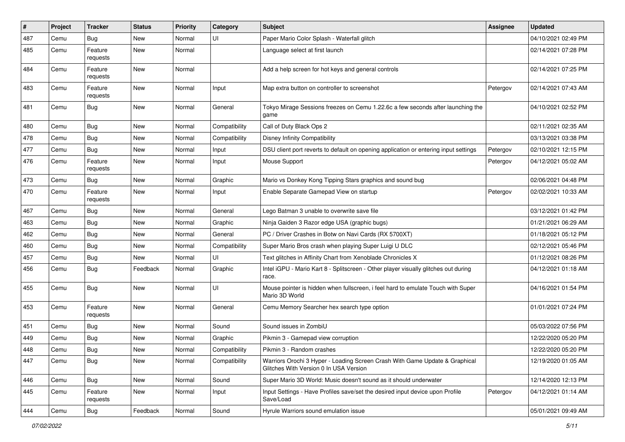| #   | Project | <b>Tracker</b>      | <b>Status</b> | <b>Priority</b> | Category      | Subject                                                                                                               | <b>Assignee</b> | Updated             |
|-----|---------|---------------------|---------------|-----------------|---------------|-----------------------------------------------------------------------------------------------------------------------|-----------------|---------------------|
| 487 | Cemu    | <b>Bug</b>          | New           | Normal          | UI            | Paper Mario Color Splash - Waterfall glitch                                                                           |                 | 04/10/2021 02:49 PM |
| 485 | Cemu    | Feature<br>requests | New           | Normal          |               | Language select at first launch                                                                                       |                 | 02/14/2021 07:28 PM |
| 484 | Cemu    | Feature<br>requests | New           | Normal          |               | Add a help screen for hot keys and general controls                                                                   |                 | 02/14/2021 07:25 PM |
| 483 | Cemu    | Feature<br>requests | New           | Normal          | Input         | Map extra button on controller to screenshot                                                                          | Petergov        | 02/14/2021 07:43 AM |
| 481 | Cemu    | <b>Bug</b>          | <b>New</b>    | Normal          | General       | Tokyo Mirage Sessions freezes on Cemu 1.22.6c a few seconds after launching the<br>game                               |                 | 04/10/2021 02:52 PM |
| 480 | Cemu    | <b>Bug</b>          | New           | Normal          | Compatibility | Call of Duty Black Ops 2                                                                                              |                 | 02/11/2021 02:35 AM |
| 478 | Cemu    | <b>Bug</b>          | New           | Normal          | Compatibility | <b>Disney Infinity Compatibility</b>                                                                                  |                 | 03/13/2021 03:38 PM |
| 477 | Cemu    | <b>Bug</b>          | New           | Normal          | Input         | DSU client port reverts to default on opening application or entering input settings                                  | Petergov        | 02/10/2021 12:15 PM |
| 476 | Cemu    | Feature<br>requests | New           | Normal          | Input         | Mouse Support                                                                                                         | Petergov        | 04/12/2021 05:02 AM |
| 473 | Cemu    | <b>Bug</b>          | New           | Normal          | Graphic       | Mario vs Donkey Kong Tipping Stars graphics and sound bug                                                             |                 | 02/06/2021 04:48 PM |
| 470 | Cemu    | Feature<br>requests | New           | Normal          | Input         | Enable Separate Gamepad View on startup                                                                               | Petergov        | 02/02/2021 10:33 AM |
| 467 | Cemu    | <b>Bug</b>          | New           | Normal          | General       | Lego Batman 3 unable to overwrite save file                                                                           |                 | 03/12/2021 01:42 PM |
| 463 | Cemu    | <b>Bug</b>          | New           | Normal          | Graphic       | Ninja Gaiden 3 Razor edge USA (graphic bugs)                                                                          |                 | 01/21/2021 06:29 AM |
| 462 | Cemu    | <b>Bug</b>          | New           | Normal          | General       | PC / Driver Crashes in Botw on Navi Cards (RX 5700XT)                                                                 |                 | 01/18/2021 05:12 PM |
| 460 | Cemu    | <b>Bug</b>          | New           | Normal          | Compatibility | Super Mario Bros crash when playing Super Luigi U DLC                                                                 |                 | 02/12/2021 05:46 PM |
| 457 | Cemu    | <b>Bug</b>          | New           | Normal          | UI            | Text glitches in Affinity Chart from Xenoblade Chronicles X                                                           |                 | 01/12/2021 08:26 PM |
| 456 | Cemu    | Bug                 | Feedback      | Normal          | Graphic       | Intel iGPU - Mario Kart 8 - Splitscreen - Other player visually glitches out during<br>race.                          |                 | 04/12/2021 01:18 AM |
| 455 | Cemu    | Bug                 | New           | Normal          | UI            | Mouse pointer is hidden when fullscreen, i feel hard to emulate Touch with Super<br>Mario 3D World                    |                 | 04/16/2021 01:54 PM |
| 453 | Cemu    | Feature<br>requests | New           | Normal          | General       | Cemu Memory Searcher hex search type option                                                                           |                 | 01/01/2021 07:24 PM |
| 451 | Cemu    | Bug                 | New           | Normal          | Sound         | Sound issues in ZombiU                                                                                                |                 | 05/03/2022 07:56 PM |
| 449 | Cemu    | <b>Bug</b>          | New           | Normal          | Graphic       | Pikmin 3 - Gamepad view corruption                                                                                    |                 | 12/22/2020 05:20 PM |
| 448 | Cemu    | Bug                 | New           | Normal          | Compatibility | Pikmin 3 - Random crashes                                                                                             |                 | 12/22/2020 05:20 PM |
| 447 | Cemu    | <b>Bug</b>          | New           | Normal          | Compatibility | Warriors Orochi 3 Hyper - Loading Screen Crash With Game Update & Graphical<br>Glitches With Version 0 In USA Version |                 | 12/19/2020 01:05 AM |
| 446 | Cemu    | Bug                 | New           | Normal          | Sound         | Super Mario 3D World: Music doesn't sound as it should underwater                                                     |                 | 12/14/2020 12:13 PM |
| 445 | Cemu    | Feature<br>requests | New           | Normal          | Input         | Input Settings - Have Profiles save/set the desired input device upon Profile<br>Save/Load                            | Petergov        | 04/12/2021 01:14 AM |
| 444 | Cemu    | <b>Bug</b>          | Feedback      | Normal          | Sound         | Hyrule Warriors sound emulation issue                                                                                 |                 | 05/01/2021 09:49 AM |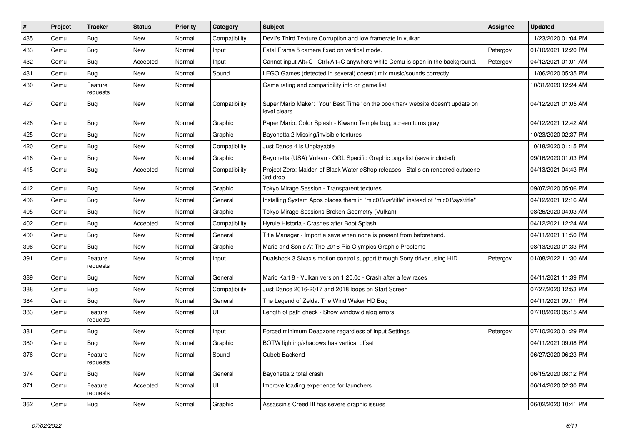| #   | Project | <b>Tracker</b>      | <b>Status</b> | <b>Priority</b> | Category      | Subject                                                                                       | <b>Assignee</b> | Updated             |
|-----|---------|---------------------|---------------|-----------------|---------------|-----------------------------------------------------------------------------------------------|-----------------|---------------------|
| 435 | Cemu    | Bug                 | New           | Normal          | Compatibility | Devil's Third Texture Corruption and low framerate in vulkan                                  |                 | 11/23/2020 01:04 PM |
| 433 | Cemu    | <b>Bug</b>          | New           | Normal          | Input         | Fatal Frame 5 camera fixed on vertical mode.                                                  | Petergov        | 01/10/2021 12:20 PM |
| 432 | Cemu    | <b>Bug</b>          | Accepted      | Normal          | Input         | Cannot input Alt+C   Ctrl+Alt+C anywhere while Cemu is open in the background.                | Petergov        | 04/12/2021 01:01 AM |
| 431 | Cemu    | <b>Bug</b>          | New           | Normal          | Sound         | LEGO Games (detected in several) doesn't mix music/sounds correctly                           |                 | 11/06/2020 05:35 PM |
| 430 | Cemu    | Feature<br>requests | New           | Normal          |               | Game rating and compatibility info on game list.                                              |                 | 10/31/2020 12:24 AM |
| 427 | Cemu    | Bug                 | New           | Normal          | Compatibility | Super Mario Maker: "Your Best Time" on the bookmark website doesn't update on<br>level clears |                 | 04/12/2021 01:05 AM |
| 426 | Cemu    | Bug                 | New           | Normal          | Graphic       | Paper Mario: Color Splash - Kiwano Temple bug, screen turns gray                              |                 | 04/12/2021 12:42 AM |
| 425 | Cemu    | Bug                 | New           | Normal          | Graphic       | Bayonetta 2 Missing/invisible textures                                                        |                 | 10/23/2020 02:37 PM |
| 420 | Cemu    | <b>Bug</b>          | New           | Normal          | Compatibility | Just Dance 4 is Unplayable                                                                    |                 | 10/18/2020 01:15 PM |
| 416 | Cemu    | Bug                 | New           | Normal          | Graphic       | Bayonetta (USA) Vulkan - OGL Specific Graphic bugs list (save included)                       |                 | 09/16/2020 01:03 PM |
| 415 | Cemu    | <b>Bug</b>          | Accepted      | Normal          | Compatibility | Project Zero: Maiden of Black Water eShop releases - Stalls on rendered cutscene<br>3rd drop  |                 | 04/13/2021 04:43 PM |
| 412 | Cemu    | Bug                 | New           | Normal          | Graphic       | Tokyo Mirage Session - Transparent textures                                                   |                 | 09/07/2020 05:06 PM |
| 406 | Cemu    | Bug                 | New           | Normal          | General       | Installing System Apps places them in "mlc01\usr\title" instead of "mlc01\sys\title"          |                 | 04/12/2021 12:16 AM |
| 405 | Cemu    | <b>Bug</b>          | New           | Normal          | Graphic       | Tokyo Mirage Sessions Broken Geometry (Vulkan)                                                |                 | 08/26/2020 04:03 AM |
| 402 | Cemu    | <b>Bug</b>          | Accepted      | Normal          | Compatibility | Hyrule Historia - Crashes after Boot Splash                                                   |                 | 04/12/2021 12:24 AM |
| 400 | Cemu    | <b>Bug</b>          | New           | Normal          | General       | Title Manager - Import a save when none is present from beforehand.                           |                 | 04/11/2021 11:50 PM |
| 396 | Cemu    | <b>Bug</b>          | New           | Normal          | Graphic       | Mario and Sonic At The 2016 Rio Olympics Graphic Problems                                     |                 | 08/13/2020 01:33 PM |
| 391 | Cemu    | Feature<br>requests | New           | Normal          | Input         | Dualshock 3 Sixaxis motion control support through Sony driver using HID.                     | Petergov        | 01/08/2022 11:30 AM |
| 389 | Cemu    | Bug                 | <b>New</b>    | Normal          | General       | Mario Kart 8 - Vulkan version 1.20.0c - Crash after a few races                               |                 | 04/11/2021 11:39 PM |
| 388 | Cemu    | Bug                 | New           | Normal          | Compatibility | Just Dance 2016-2017 and 2018 loops on Start Screen                                           |                 | 07/27/2020 12:53 PM |
| 384 | Cemu    | <b>Bug</b>          | New           | Normal          | General       | The Legend of Zelda: The Wind Waker HD Bug                                                    |                 | 04/11/2021 09:11 PM |
| 383 | Cemu    | Feature<br>requests | New           | Normal          | UI            | Length of path check - Show window dialog errors                                              |                 | 07/18/2020 05:15 AM |
| 381 | Cemu    | Bug                 | New           | Normal          | Input         | Forced minimum Deadzone regardless of Input Settings                                          | Petergov        | 07/10/2020 01:29 PM |
| 380 | Cemu    | <b>Bug</b>          | New           | Normal          | Graphic       | BOTW lighting/shadows has vertical offset                                                     |                 | 04/11/2021 09:08 PM |
| 376 | Cemu    | Feature<br>requests | New           | Normal          | Sound         | Cubeb Backend                                                                                 |                 | 06/27/2020 06:23 PM |
| 374 | Cemu    | <b>Bug</b>          | New           | Normal          | General       | Bayonetta 2 total crash                                                                       |                 | 06/15/2020 08:12 PM |
| 371 | Cemu    | Feature<br>requests | Accepted      | Normal          | UI            | Improve loading experience for launchers.                                                     |                 | 06/14/2020 02:30 PM |
| 362 | Cemu    | Bug                 | New           | Normal          | Graphic       | Assassin's Creed III has severe graphic issues                                                |                 | 06/02/2020 10:41 PM |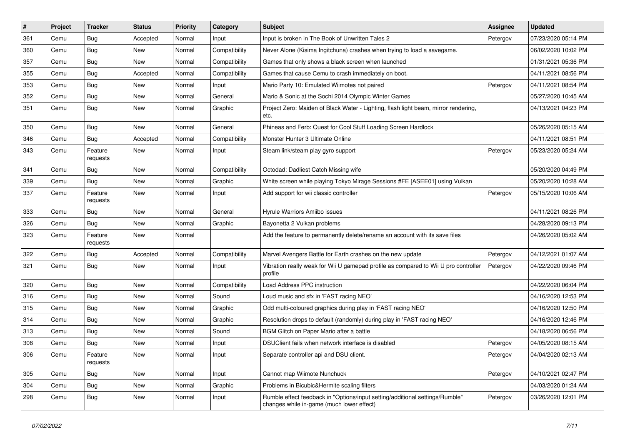| #   | Project | <b>Tracker</b>      | <b>Status</b> | <b>Priority</b> | Category      | <b>Subject</b>                                                                                                            | <b>Assignee</b> | <b>Updated</b>      |
|-----|---------|---------------------|---------------|-----------------|---------------|---------------------------------------------------------------------------------------------------------------------------|-----------------|---------------------|
| 361 | Cemu    | <b>Bug</b>          | Accepted      | Normal          | Input         | Input is broken in The Book of Unwritten Tales 2                                                                          | Petergov        | 07/23/2020 05:14 PM |
| 360 | Cemu    | Bug                 | New           | Normal          | Compatibility | Never Alone (Kisima Ingitchuna) crashes when trying to load a savegame.                                                   |                 | 06/02/2020 10:02 PM |
| 357 | Cemu    | Bug                 | New           | Normal          | Compatibility | Games that only shows a black screen when launched                                                                        |                 | 01/31/2021 05:36 PM |
| 355 | Cemu    | <b>Bug</b>          | Accepted      | Normal          | Compatibility | Games that cause Cemu to crash immediately on boot.                                                                       |                 | 04/11/2021 08:56 PM |
| 353 | Cemu    | Bug                 | New           | Normal          | Input         | Mario Party 10: Emulated Wiimotes not paired                                                                              | Petergov        | 04/11/2021 08:54 PM |
| 352 | Cemu    | <b>Bug</b>          | New           | Normal          | General       | Mario & Sonic at the Sochi 2014 Olympic Winter Games                                                                      |                 | 05/27/2020 10:45 AM |
| 351 | Cemu    | Bug                 | New           | Normal          | Graphic       | Project Zero: Maiden of Black Water - Lighting, flash light beam, mirror rendering,<br>etc.                               |                 | 04/13/2021 04:23 PM |
| 350 | Cemu    | Bug                 | New           | Normal          | General       | Phineas and Ferb: Quest for Cool Stuff Loading Screen Hardlock                                                            |                 | 05/26/2020 05:15 AM |
| 346 | Cemu    | <b>Bug</b>          | Accepted      | Normal          | Compatibility | Monster Hunter 3 Ultimate Online                                                                                          |                 | 04/11/2021 08:51 PM |
| 343 | Cemu    | Feature<br>requests | New           | Normal          | Input         | Steam link/steam play gyro support                                                                                        | Petergov        | 05/23/2020 05:24 AM |
| 341 | Cemu    | Bug                 | New           | Normal          | Compatibility | Octodad: Dadliest Catch Missing wife                                                                                      |                 | 05/20/2020 04:49 PM |
| 339 | Cemu    | <b>Bug</b>          | New           | Normal          | Graphic       | White screen while playing Tokyo Mirage Sessions #FE [ASEE01] using Vulkan                                                |                 | 05/20/2020 10:28 AM |
| 337 | Cemu    | Feature<br>requests | New           | Normal          | Input         | Add support for wii classic controller                                                                                    | Petergov        | 05/15/2020 10:06 AM |
| 333 | Cemu    | Bug                 | New           | Normal          | General       | Hyrule Warriors Amiibo issues                                                                                             |                 | 04/11/2021 08:26 PM |
| 326 | Cemu    | Bug                 | <b>New</b>    | Normal          | Graphic       | Bayonetta 2 Vulkan problems                                                                                               |                 | 04/28/2020 09:13 PM |
| 323 | Cemu    | Feature<br>requests | New           | Normal          |               | Add the feature to permanently delete/rename an account with its save files                                               |                 | 04/26/2020 05:02 AM |
| 322 | Cemu    | Bug                 | Accepted      | Normal          | Compatibility | Marvel Avengers Battle for Earth crashes on the new update                                                                | Petergov        | 04/12/2021 01:07 AM |
| 321 | Cemu    | <b>Bug</b>          | New           | Normal          | Input         | Vibration really weak for Wii U gamepad profile as compared to Wii U pro controller<br>profile                            | Petergov        | 04/22/2020 09:46 PM |
| 320 | Cemu    | Bug                 | New           | Normal          | Compatibility | Load Address PPC instruction                                                                                              |                 | 04/22/2020 06:04 PM |
| 316 | Cemu    | <b>Bug</b>          | New           | Normal          | Sound         | Loud music and sfx in 'FAST racing NEO'                                                                                   |                 | 04/16/2020 12:53 PM |
| 315 | Cemu    | <b>Bug</b>          | New           | Normal          | Graphic       | Odd multi-coloured graphics during play in 'FAST racing NEO'                                                              |                 | 04/16/2020 12:50 PM |
| 314 | Cemu    | <b>Bug</b>          | New           | Normal          | Graphic       | Resolution drops to default (randomly) during play in 'FAST racing NEO'                                                   |                 | 04/16/2020 12:46 PM |
| 313 | Cemu    | <b>Bug</b>          | New           | Normal          | Sound         | BGM Glitch on Paper Mario after a battle                                                                                  |                 | 04/18/2020 06:56 PM |
| 308 | Cemu    | <b>Bug</b>          | New           | Normal          | Input         | DSUClient fails when network interface is disabled                                                                        | Petergov        | 04/05/2020 08:15 AM |
| 306 | Cemu    | Feature<br>requests | New           | Normal          | Input         | Separate controller api and DSU client.                                                                                   | Petergov        | 04/04/2020 02:13 AM |
| 305 | Cemu    | Bug                 | New           | Normal          | Input         | Cannot map Wiimote Nunchuck                                                                                               | Petergov        | 04/10/2021 02:47 PM |
| 304 | Cemu    | <b>Bug</b>          | New           | Normal          | Graphic       | Problems in Bicubic&Hermite scaling filters                                                                               |                 | 04/03/2020 01:24 AM |
| 298 | Cemu    | <b>Bug</b>          | New           | Normal          | Input         | Rumble effect feedback in "Options/input setting/additional settings/Rumble"<br>changes while in-game (much lower effect) | Petergov        | 03/26/2020 12:01 PM |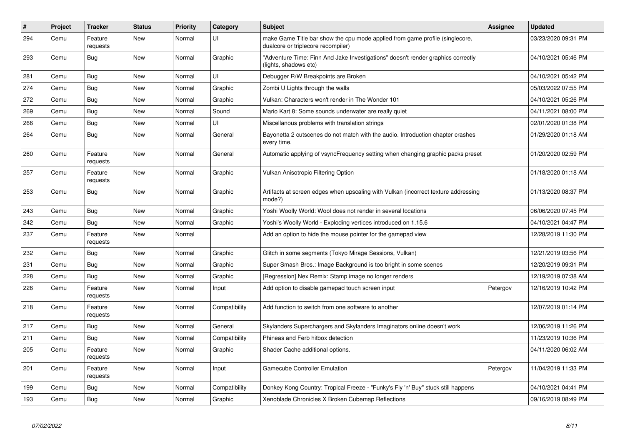| #   | Project | Tracker             | <b>Status</b> | <b>Priority</b> | Category      | <b>Subject</b>                                                                                                     | <b>Assignee</b> | <b>Updated</b>      |
|-----|---------|---------------------|---------------|-----------------|---------------|--------------------------------------------------------------------------------------------------------------------|-----------------|---------------------|
| 294 | Cemu    | Feature<br>requests | New           | Normal          | UI            | make Game Title bar show the cpu mode applied from game profile (singlecore,<br>dualcore or triplecore recompiler) |                 | 03/23/2020 09:31 PM |
| 293 | Cemu    | Bug                 | New           | Normal          | Graphic       | "Adventure Time: Finn And Jake Investigations" doesn't render graphics correctly<br>(lights, shadows etc)          |                 | 04/10/2021 05:46 PM |
| 281 | Cemu    | Bug                 | New           | Normal          | UI            | Debugger R/W Breakpoints are Broken                                                                                |                 | 04/10/2021 05:42 PM |
| 274 | Cemu    | Bug                 | New           | Normal          | Graphic       | Zombi U Lights through the walls                                                                                   |                 | 05/03/2022 07:55 PM |
| 272 | Cemu    | Bug                 | New           | Normal          | Graphic       | Vulkan: Characters won't render in The Wonder 101                                                                  |                 | 04/10/2021 05:26 PM |
| 269 | Cemu    | <b>Bug</b>          | New           | Normal          | Sound         | Mario Kart 8: Some sounds underwater are really quiet                                                              |                 | 04/11/2021 08:00 PM |
| 266 | Cemu    | Bug                 | New           | Normal          | UI            | Miscellanous problems with translation strings                                                                     |                 | 02/01/2020 01:38 PM |
| 264 | Cemu    | <b>Bug</b>          | <b>New</b>    | Normal          | General       | Bayonetta 2 cutscenes do not match with the audio. Introduction chapter crashes<br>every time.                     |                 | 01/29/2020 01:18 AM |
| 260 | Cemu    | Feature<br>requests | New           | Normal          | General       | Automatic applying of vsyncFrequency setting when changing graphic packs preset                                    |                 | 01/20/2020 02:59 PM |
| 257 | Cemu    | Feature<br>requests | New           | Normal          | Graphic       | Vulkan Anisotropic Filtering Option                                                                                |                 | 01/18/2020 01:18 AM |
| 253 | Cemu    | Bug                 | <b>New</b>    | Normal          | Graphic       | Artifacts at screen edges when upscaling with Vulkan (incorrect texture addressing<br>mode?)                       |                 | 01/13/2020 08:37 PM |
| 243 | Cemu    | Bug                 | <b>New</b>    | Normal          | Graphic       | Yoshi Woolly World: Wool does not render in several locations                                                      |                 | 06/06/2020 07:45 PM |
| 242 | Cemu    | <b>Bug</b>          | <b>New</b>    | Normal          | Graphic       | Yoshi's Woolly World - Exploding vertices introduced on 1.15.6                                                     |                 | 04/10/2021 04:47 PM |
| 237 | Cemu    | Feature<br>requests | <b>New</b>    | Normal          |               | Add an option to hide the mouse pointer for the gamepad view                                                       |                 | 12/28/2019 11:30 PM |
| 232 | Cemu    | <b>Bug</b>          | <b>New</b>    | Normal          | Graphic       | Glitch in some segments (Tokyo Mirage Sessions, Vulkan)                                                            |                 | 12/21/2019 03:56 PM |
| 231 | Cemu    | Bug                 | <b>New</b>    | Normal          | Graphic       | Super Smash Bros.: Image Background is too bright in some scenes                                                   |                 | 12/20/2019 09:31 PM |
| 228 | Cemu    | <b>Bug</b>          | <b>New</b>    | Normal          | Graphic       | [Regression] Nex Remix: Stamp image no longer renders                                                              |                 | 12/19/2019 07:38 AM |
| 226 | Cemu    | Feature<br>requests | New           | Normal          | Input         | Add option to disable gamepad touch screen input                                                                   | Petergov        | 12/16/2019 10:42 PM |
| 218 | Cemu    | Feature<br>requests | <b>New</b>    | Normal          | Compatibility | Add function to switch from one software to another                                                                |                 | 12/07/2019 01:14 PM |
| 217 | Cemu    | <b>Bug</b>          | <b>New</b>    | Normal          | General       | Skylanders Superchargers and Skylanders Imaginators online doesn't work                                            |                 | 12/06/2019 11:26 PM |
| 211 | Cemu    | <b>Bug</b>          | <b>New</b>    | Normal          | Compatibility | Phineas and Ferb hitbox detection                                                                                  |                 | 11/23/2019 10:36 PM |
| 205 | Cemu    | Feature<br>requests | <b>New</b>    | Normal          | Graphic       | Shader Cache additional options.                                                                                   |                 | 04/11/2020 06:02 AM |
| 201 | Cemu    | Feature<br>requests | <b>New</b>    | Normal          | Input         | <b>Gamecube Controller Emulation</b>                                                                               | Petergov        | 11/04/2019 11:33 PM |
| 199 | Cemu    | <b>Bug</b>          | <b>New</b>    | Normal          | Compatibility | Donkey Kong Country: Tropical Freeze - "Funky's Fly 'n' Buy" stuck still happens                                   |                 | 04/10/2021 04:41 PM |
| 193 | Cemu    | <b>Bug</b>          | <b>New</b>    | Normal          | Graphic       | Xenoblade Chronicles X Broken Cubemap Reflections                                                                  |                 | 09/16/2019 08:49 PM |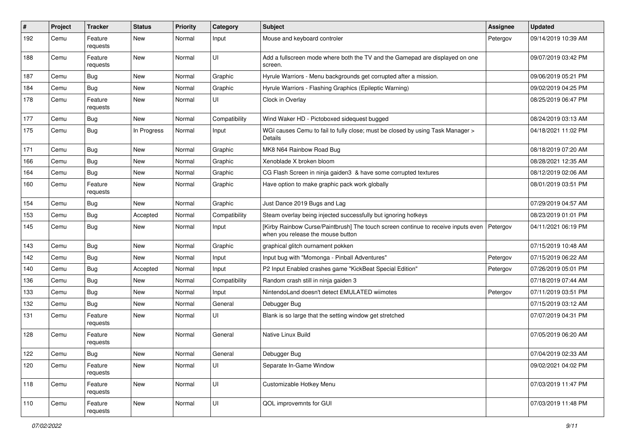| $\#$ | Project | <b>Tracker</b>      | <b>Status</b> | <b>Priority</b> | Category      | Subject                                                                                                                | <b>Assignee</b> | <b>Updated</b>      |
|------|---------|---------------------|---------------|-----------------|---------------|------------------------------------------------------------------------------------------------------------------------|-----------------|---------------------|
| 192  | Cemu    | Feature<br>requests | <b>New</b>    | Normal          | Input         | Mouse and keyboard controler                                                                                           | Petergov        | 09/14/2019 10:39 AM |
| 188  | Cemu    | Feature<br>requests | <b>New</b>    | Normal          | UI            | Add a fullscreen mode where both the TV and the Gamepad are displayed on one<br>screen.                                |                 | 09/07/2019 03:42 PM |
| 187  | Cemu    | Bug                 | <b>New</b>    | Normal          | Graphic       | Hyrule Warriors - Menu backgrounds get corrupted after a mission.                                                      |                 | 09/06/2019 05:21 PM |
| 184  | Cemu    | Bug                 | New           | Normal          | Graphic       | Hyrule Warriors - Flashing Graphics (Epileptic Warning)                                                                |                 | 09/02/2019 04:25 PM |
| 178  | Cemu    | Feature<br>requests | <b>New</b>    | Normal          | UI            | Clock in Overlay                                                                                                       |                 | 08/25/2019 06:47 PM |
| 177  | Cemu    | <b>Bug</b>          | <b>New</b>    | Normal          | Compatibility | Wind Waker HD - Pictoboxed sidequest bugged                                                                            |                 | 08/24/2019 03:13 AM |
| 175  | Cemu    | Bug                 | In Progress   | Normal          | Input         | WGI causes Cemu to fail to fully close; must be closed by using Task Manager ><br>Details                              |                 | 04/18/2021 11:02 PM |
| 171  | Cemu    | Bug                 | <b>New</b>    | Normal          | Graphic       | MK8 N64 Rainbow Road Bug                                                                                               |                 | 08/18/2019 07:20 AM |
| 166  | Cemu    | Bug                 | <b>New</b>    | Normal          | Graphic       | Xenoblade X broken bloom                                                                                               |                 | 08/28/2021 12:35 AM |
| 164  | Cemu    | <b>Bug</b>          | New           | Normal          | Graphic       | CG Flash Screen in ninja gaiden3 & have some corrupted textures                                                        |                 | 08/12/2019 02:06 AM |
| 160  | Cemu    | Feature<br>requests | New           | Normal          | Graphic       | Have option to make graphic pack work globally                                                                         |                 | 08/01/2019 03:51 PM |
| 154  | Cemu    | <b>Bug</b>          | <b>New</b>    | Normal          | Graphic       | Just Dance 2019 Bugs and Lag                                                                                           |                 | 07/29/2019 04:57 AM |
| 153  | Cemu    | Bug                 | Accepted      | Normal          | Compatibility | Steam overlay being injected successfully but ignoring hotkeys                                                         |                 | 08/23/2019 01:01 PM |
| 145  | Cemu    | <b>Bug</b>          | New           | Normal          | Input         | [Kirby Rainbow Curse/Paintbrush] The touch screen continue to receive inputs even<br>when you release the mouse button | Petergov        | 04/11/2021 06:19 PM |
| 143  | Cemu    | Bug                 | <b>New</b>    | Normal          | Graphic       | graphical glitch ournament pokken                                                                                      |                 | 07/15/2019 10:48 AM |
| 142  | Cemu    | Bug                 | New           | Normal          | Input         | Input bug with "Momonga - Pinball Adventures"                                                                          | Petergov        | 07/15/2019 06:22 AM |
| 140  | Cemu    | Bug                 | Accepted      | Normal          | Input         | P2 Input Enabled crashes game "KickBeat Special Edition"                                                               | Petergov        | 07/26/2019 05:01 PM |
| 136  | Cemu    | Bug                 | New           | Normal          | Compatibility | Random crash still in ninja gaiden 3                                                                                   |                 | 07/18/2019 07:44 AM |
| 133  | Cemu    | Bug                 | <b>New</b>    | Normal          | Input         | NintendoLand doesn't detect EMULATED wiimotes                                                                          | Petergov        | 07/11/2019 03:51 PM |
| 132  | Cemu    | Bug                 | <b>New</b>    | Normal          | General       | Debugger Bug                                                                                                           |                 | 07/15/2019 03:12 AM |
| 131  | Cemu    | Feature<br>requests | <b>New</b>    | Normal          | UI            | Blank is so large that the setting window get stretched                                                                |                 | 07/07/2019 04:31 PM |
| 128  | Cemu    | Feature<br>requests | <b>New</b>    | Normal          | General       | Native Linux Build                                                                                                     |                 | 07/05/2019 06:20 AM |
| 122  | Cemu    | <b>Bug</b>          | New           | Normal          | General       | Debugger Bug                                                                                                           |                 | 07/04/2019 02:33 AM |
| 120  | Cemu    | Feature<br>requests | New           | Normal          | UI            | Separate In-Game Window                                                                                                |                 | 09/02/2021 04:02 PM |
| 118  | Cemu    | Feature<br>requests | New           | Normal          | UI            | Customizable Hotkey Menu                                                                                               |                 | 07/03/2019 11:47 PM |
| 110  | Cemu    | Feature<br>requests | New           | Normal          | UI            | QOL improvemnts for GUI                                                                                                |                 | 07/03/2019 11:48 PM |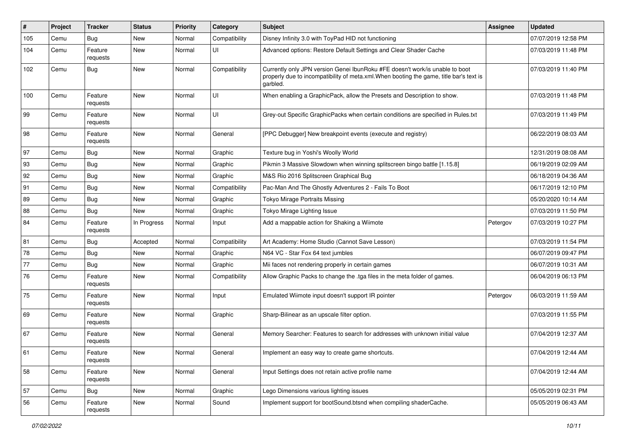| #   | Project | <b>Tracker</b>      | <b>Status</b> | <b>Priority</b> | Category      | <b>Subject</b>                                                                                                                                                                      | <b>Assignee</b> | Updated             |
|-----|---------|---------------------|---------------|-----------------|---------------|-------------------------------------------------------------------------------------------------------------------------------------------------------------------------------------|-----------------|---------------------|
| 105 | Cemu    | Bug                 | New           | Normal          | Compatibility | Disney Infinity 3.0 with ToyPad HID not functioning                                                                                                                                 |                 | 07/07/2019 12:58 PM |
| 104 | Cemu    | Feature<br>requests | New           | Normal          | UI            | Advanced options: Restore Default Settings and Clear Shader Cache                                                                                                                   |                 | 07/03/2019 11:48 PM |
| 102 | Cemu    | <b>Bug</b>          | New           | Normal          | Compatibility | Currently only JPN version Genei IbunRoku #FE doesn't work/is unable to boot<br>properly due to incompatibility of meta.xml. When booting the game, title bar's text is<br>garbled. |                 | 07/03/2019 11:40 PM |
| 100 | Cemu    | Feature<br>requests | New           | Normal          | UI            | When enabling a GraphicPack, allow the Presets and Description to show.                                                                                                             |                 | 07/03/2019 11:48 PM |
| 99  | Cemu    | Feature<br>requests | New           | Normal          | UI            | Grey-out Specific GraphicPacks when certain conditions are specified in Rules.txt                                                                                                   |                 | 07/03/2019 11:49 PM |
| 98  | Cemu    | Feature<br>requests | New           | Normal          | General       | [PPC Debugger] New breakpoint events (execute and registry)                                                                                                                         |                 | 06/22/2019 08:03 AM |
| 97  | Cemu    | Bug                 | New           | Normal          | Graphic       | Texture bug in Yoshi's Woolly World                                                                                                                                                 |                 | 12/31/2019 08:08 AM |
| 93  | Cemu    | <b>Bug</b>          | New           | Normal          | Graphic       | Pikmin 3 Massive Slowdown when winning splitscreen bingo battle [1.15.8]                                                                                                            |                 | 06/19/2019 02:09 AM |
| 92  | Cemu    | Bug                 | New           | Normal          | Graphic       | M&S Rio 2016 Splitscreen Graphical Bug                                                                                                                                              |                 | 06/18/2019 04:36 AM |
| 91  | Cemu    | <b>Bug</b>          | New           | Normal          | Compatibility | Pac-Man And The Ghostly Adventures 2 - Fails To Boot                                                                                                                                |                 | 06/17/2019 12:10 PM |
| 89  | Cemu    | <b>Bug</b>          | New           | Normal          | Graphic       | Tokyo Mirage Portraits Missing                                                                                                                                                      |                 | 05/20/2020 10:14 AM |
| 88  | Cemu    | <b>Bug</b>          | New           | Normal          | Graphic       | Tokyo Mirage Lighting Issue                                                                                                                                                         |                 | 07/03/2019 11:50 PM |
| 84  | Cemu    | Feature<br>requests | In Progress   | Normal          | Input         | Add a mappable action for Shaking a Wiimote                                                                                                                                         | Petergov        | 07/03/2019 10:27 PM |
| 81  | Cemu    | Bug                 | Accepted      | Normal          | Compatibility | Art Academy: Home Studio (Cannot Save Lesson)                                                                                                                                       |                 | 07/03/2019 11:54 PM |
| 78  | Cemu    | Bug                 | New           | Normal          | Graphic       | N64 VC - Star Fox 64 text jumbles                                                                                                                                                   |                 | 06/07/2019 09:47 PM |
| 77  | Cemu    | <b>Bug</b>          | New           | Normal          | Graphic       | Mii faces not rendering properly in certain games                                                                                                                                   |                 | 06/07/2019 10:31 AM |
| 76  | Cemu    | Feature<br>requests | New           | Normal          | Compatibility | Allow Graphic Packs to change the .tga files in the meta folder of games.                                                                                                           |                 | 06/04/2019 06:13 PM |
| 75  | Cemu    | Feature<br>requests | New           | Normal          | Input         | Emulated Wiimote input doesn't support IR pointer                                                                                                                                   | Petergov        | 06/03/2019 11:59 AM |
| 69  | Cemu    | Feature<br>requests | New           | Normal          | Graphic       | Sharp-Bilinear as an upscale filter option.                                                                                                                                         |                 | 07/03/2019 11:55 PM |
| 67  | Cemu    | Feature<br>requests | New           | Normal          | General       | Memory Searcher: Features to search for addresses with unknown initial value                                                                                                        |                 | 07/04/2019 12:37 AM |
| 61  | Cemu    | Feature<br>requests | New           | Normal          | General       | Implement an easy way to create game shortcuts.                                                                                                                                     |                 | 07/04/2019 12:44 AM |
| 58  | Cemu    | Feature<br>requests | New           | Normal          | General       | Input Settings does not retain active profile name                                                                                                                                  |                 | 07/04/2019 12:44 AM |
| 57  | Cemu    | Bug                 | New           | Normal          | Graphic       | Lego Dimensions various lighting issues                                                                                                                                             |                 | 05/05/2019 02:31 PM |
| 56  | Cemu    | Feature<br>requests | New           | Normal          | Sound         | Implement support for bootSound.btsnd when compiling shaderCache.                                                                                                                   |                 | 05/05/2019 06:43 AM |